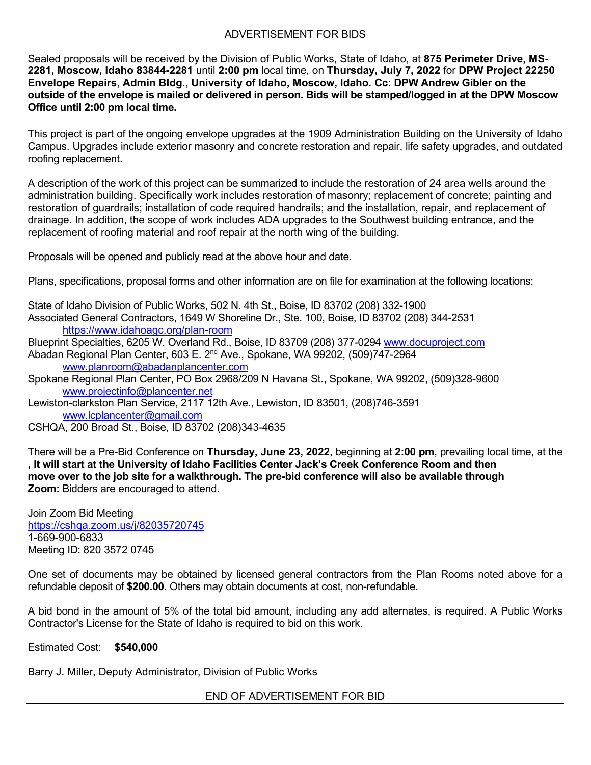## ADVERTISEMENT FOR BIDS

Sealed proposals will be received by the Division of Public Works, State of Idaho, at **875 Perimeter Drive, MS-2281, Moscow, Idaho 83844-2281** until **2:00 pm** local time, on **Thursday, July 7, 2022** for **DPW Project 22250 Envelope Repairs, Admin Bldg., University of Idaho, Moscow, Idaho. Cc: DPW Andrew Gibler on the outside of the envelope is mailed or delivered in person. Bids will be stamped/logged in at the DPW Moscow Office until 2:00 pm local time.**

This project is part of the ongoing envelope upgrades at the 1909 Administration Building on the University of Idaho Campus. Upgrades include exterior masonry and concrete restoration and repair, life safety upgrades, and outdated roofing replacement.

A description of the work of this project can be summarized to include the restoration of 24 area wells around the administration building. Specifically work includes restoration of masonry; replacement of concrete; painting and restoration of guardrails; installation of code required handrails; and the installation, repair, and replacement of drainage. In addition, the scope of work includes ADA upgrades to the Southwest building entrance, and the replacement of roofing material and roof repair at the north wing of the building.

Proposals will be opened and publicly read at the above hour and date.

Plans, specifications, proposal forms and other information are on file for examination at the following locations:

State of Idaho Division of Public Works, 502 N. 4th St., Boise, ID 83702 (208) 332-1900 Associated General Contractors, 1649 W Shoreline Dr., Ste. 100, Boise, ID 83702 (208) 344-2531 <https://www.idahoagc.org/plan-room>

Blueprint Specialties, 6205 W. Overland Rd., Boise, ID 83709 (208) 377-0294 [www.docuproject.com](http://www.docuproject.com/)

Abadan Regional Plan Center, 603 E. 2nd Ave., Spokane, WA 99202, (509)747-2964 [www.planroom@abadanplancenter.com](http://www.planroom@abadanplancenter.com)

Spokane Regional Plan Center, PO Box 2968/209 N Havana St., Spokane, WA 99202, (509)328-9600 [www.projectinfo@plancenter.net](http://www.projectinfo@plancenter.net)

Lewiston-clarkston Plan Service, 2117 12th Ave., Lewiston, ID 83501, (208)746-3591 [www.lcplancenter@gmail.com](http://www.lcplancenter@gmail.com)

CSHQA, 200 Broad St., Boise, ID 83702 (208)343-4635

There will be a Pre-Bid Conference on **Thursday, June 23, 2022**, beginning at **2:00 pm**, prevailing local time, at the **, It will start at the University of Idaho Facilities Center Jack's Creek Conference Room and then move over to the job site for a walkthrough. The pre-bid conference will also be available through Zoom:** Bidders are encouraged to attend.

Join Zoom Bid Meeting <https://cshqa.zoom.us/j/82035720745> 1-669-900-6833 Meeting ID: 820 3572 0745

One set of documents may be obtained by licensed general contractors from the Plan Rooms noted above for a refundable deposit of **\$200.00**. Others may obtain documents at cost, non-refundable.

A bid bond in the amount of 5% of the total bid amount, including any add alternates, is required. A Public Works Contractor's License for the State of Idaho is required to bid on this work.

Estimated Cost: **\$540,000**

Barry J. Miller, Deputy Administrator, Division of Public Works

END OF ADVERTISEMENT FOR BID